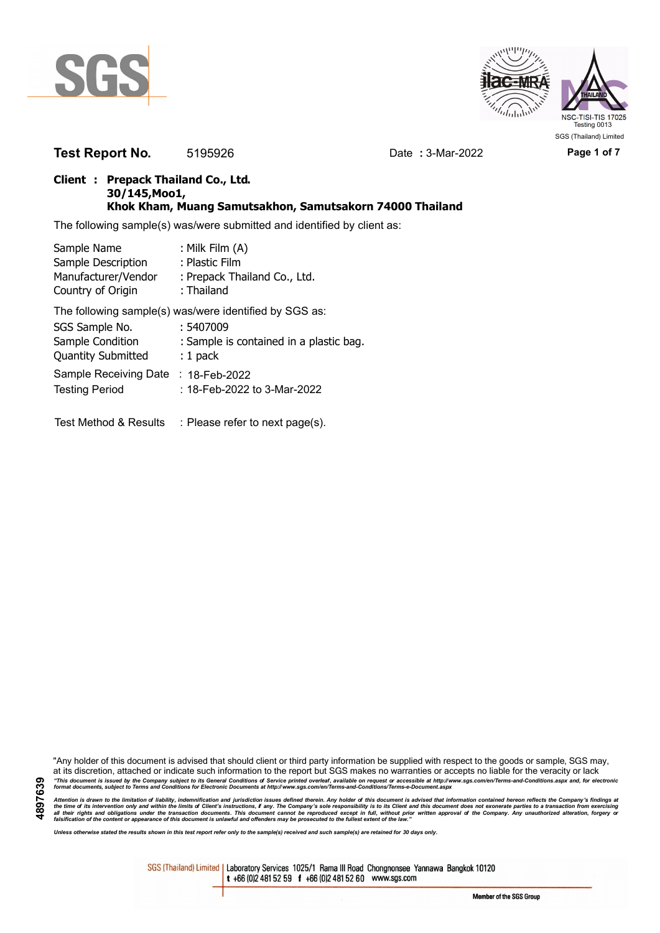



**Test Report No.** 5195926 Date **:** 3-Mar-2022 **Page 1 of 7** 

## **Client : Prepack Thailand Co., Ltd. 30/145,Moo1, Khok Kham, Muang Samutsakhon, Samutsakorn 74000 Thailand**

The following sample(s) was/were submitted and identified by client as:

| Sample Name                                   | : Milk Film (A)                                        |
|-----------------------------------------------|--------------------------------------------------------|
| Sample Description                            | : Plastic Film                                         |
| Manufacturer/Vendor<br>Country of Origin      | : Prepack Thailand Co., Ltd.<br>: Thailand             |
|                                               | The following sample(s) was/were identified by SGS as: |
| SGS Sample No.                                | : 5407009                                              |
| Sample Condition<br><b>Quantity Submitted</b> | : Sample is contained in a plastic bag.<br>$: 1$ pack  |
| Sample Receiving Date                         | : 18-Feb-2022                                          |
| <b>Testing Period</b>                         | : 18-Feb-2022 to 3-Mar-2022                            |
|                                               |                                                        |

Test Method & Results : Please refer to next page(s).

"Any holder of this document is advised that should client or third party information be supplied with respect to the goods or sample, SGS may, at its discretion, attached or indicate such information to the report but SGS makes no warranties or accepts no liable for the veracity or lack "This document is issued by the Company subject to its General Conditions of Service printed overleaf, available on request or accessible at http://www.sgs.com/en/Terms-and-Conditions.aspx and, for electronic<br>format docume

Attention is drawn to the limitation of liability, indemnification and jurisdiction issues defined therein. Any holder of this document is advised that information contained hereon reflects the Company's findings at<br>all th

*Unless otherwise stated the results shown in this test report refer only to the sample(s) received and such sample(s) are retained for 30 days only.*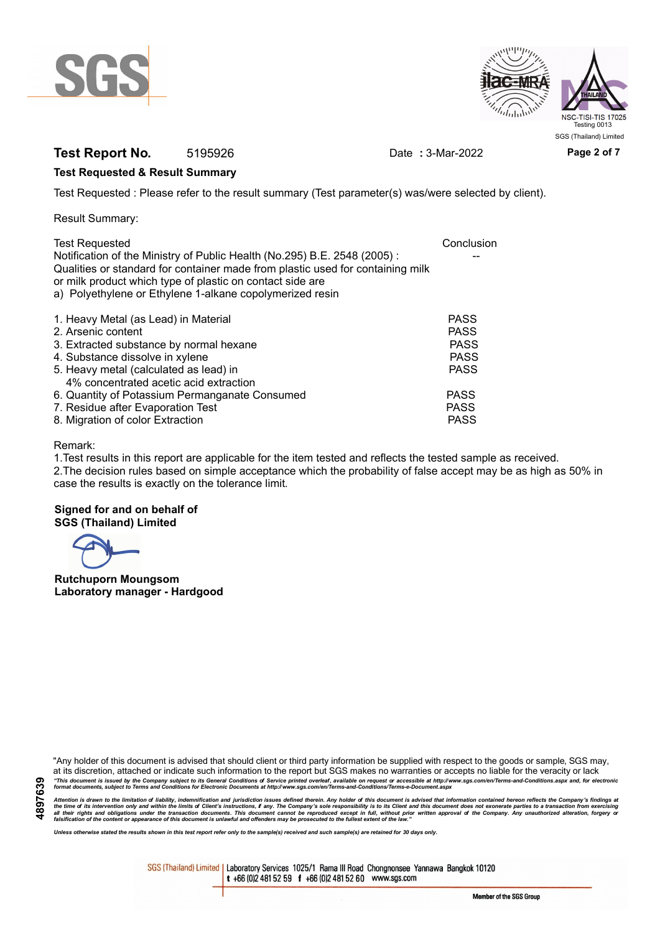



# **Test Report No.** 5195926 Date **:** 3-Mar-2022 **Page 2 of 7**

## **Test Requested & Result Summary**

Test Requested : Please refer to the result summary (Test parameter(s) was/were selected by client).

Result Summary:

| <b>Test Requested</b>                                                          | Conclusion  |
|--------------------------------------------------------------------------------|-------------|
| Notification of the Ministry of Public Health (No.295) B.E. 2548 (2005):       |             |
| Qualities or standard for container made from plastic used for containing milk |             |
| or milk product which type of plastic on contact side are                      |             |
| a) Polyethylene or Ethylene 1-alkane copolymerized resin                       |             |
| 1. Heavy Metal (as Lead) in Material                                           | <b>PASS</b> |
| 2. Arsenic content                                                             | <b>PASS</b> |
| 3. Extracted substance by normal hexane                                        | <b>PASS</b> |
| 4. Substance dissolve in xylene                                                | <b>PASS</b> |
| 5. Heavy metal (calculated as lead) in                                         | <b>PASS</b> |
| 4% concentrated acetic acid extraction                                         |             |
| 6. Quantity of Potassium Permanganate Consumed                                 | <b>PASS</b> |
| 7. Residue after Evaporation Test                                              | <b>PASS</b> |
| 8. Migration of color Extraction                                               | <b>PASS</b> |

### Remark:

1.Test results in this report are applicable for the item tested and reflects the tested sample as received. 2.The decision rules based on simple acceptance which the probability of false accept may be as high as 50% in case the results is exactly on the tolerance limit.

**Signed for and on behalf of SGS (Thailand) Limited**

**Rutchuporn Moungsom Laboratory manager - Hardgood**

"Any holder of this document is advised that should client or third party information be supplied with respect to the goods or sample, SGS may, at its discretion, attached or indicate such information to the report but SGS makes no warranties or accepts no liable for the veracity or lack "This document is issued by the Company subject to its General Conditions of Service printed overleaf, available on request or accessible at http://www.sgs.com/en/Terms-and-Conditions.aspx and, for electronic<br>format docume

Attention is drawn to the limitation of liability, indemnification and jurisdiction issues defined therein. Any holder of this document is advised that information contained hereon reflects the Company's findings at<br>all th

*Unless otherwise stated the results shown in this test report refer only to the sample(s) received and such sample(s) are retained for 30 days only.*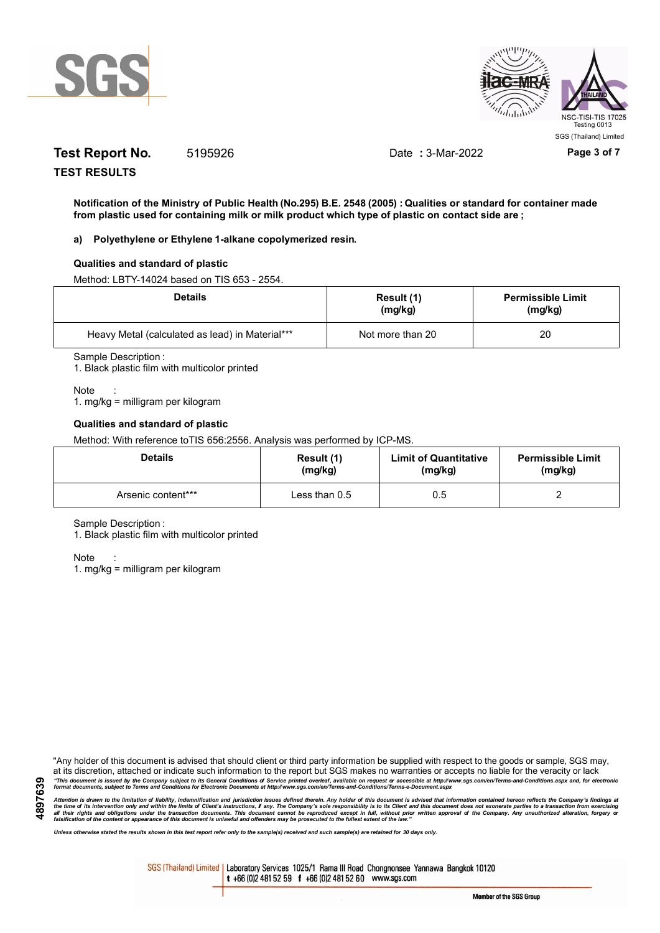



# **Test Report No.** 5195926 Date **:** 3-Mar-2022 **Page 3 of 7**

**TEST RESULTS**

**Notification of the Ministry of Public Health (No.295) B.E. 2548 (2005) : Qualities or standard for container made from plastic used for containing milk or milk product which type of plastic on contact side are ;**

### **a) Polyethylene or Ethylene 1-alkane copolymerized resin.**

### **Qualities and standard of plastic**

Method: LBTY-14024 based on TIS 653 - 2554.

| <b>Details</b>                                  | Result (1)<br>(mg/kg) | <b>Permissible Limit</b><br>(mg/kg) |
|-------------------------------------------------|-----------------------|-------------------------------------|
| Heavy Metal (calculated as lead) in Material*** | Not more than 20      | 20                                  |

Sample Description :

1. Black plastic film with multicolor printed

Note

1. mg/kg = milligram per kilogram

#### **Qualities and standard of plastic**

Method: With reference toTIS 656:2556. Analysis was performed by ICP-MS.

| <b>Details</b>     | Result (1)      | <b>Limit of Quantitative</b> | <b>Permissible Limit</b> |
|--------------------|-----------------|------------------------------|--------------------------|
|                    | (mg/kg)         | (mg/kg)                      | (mg/kg)                  |
| Arsenic content*** | Less than $0.5$ | 0.5                          |                          |

Sample Description :

1. Black plastic film with multicolor printed

Note :

1. mg/kg = milligram per kilogram

"Any holder of this document is advised that should client or third party information be supplied with respect to the goods or sample, SGS may, at its discretion, attached or indicate such information to the report but SGS makes no warranties or accepts no liable for the veracity or lack "This document is issued by the Company subject to its General Conditions of Service printed overleaf, available on request or accessible at http://www.sgs.com/en/Terms-and-Conditions.aspx and, for electronic<br>format docume

Attention is drawn to the limitation of liability, indemnification and jurisdiction issues defined therein. Any holder of this document is advised that information contained hereon reflects the Company's findings at<br>all th

*Unless otherwise stated the results shown in this test report refer only to the sample(s) received and such sample(s) are retained for 30 days only.*

SGS (Thailand) Limited | Laboratory Services 1025/1 Rama III Road Chongnonsee Yannawa Bangkok 10120 t +66 (0)2 481 52 59 f +66 (0)2 481 52 60 www.sgs.com

Member of the SGS Group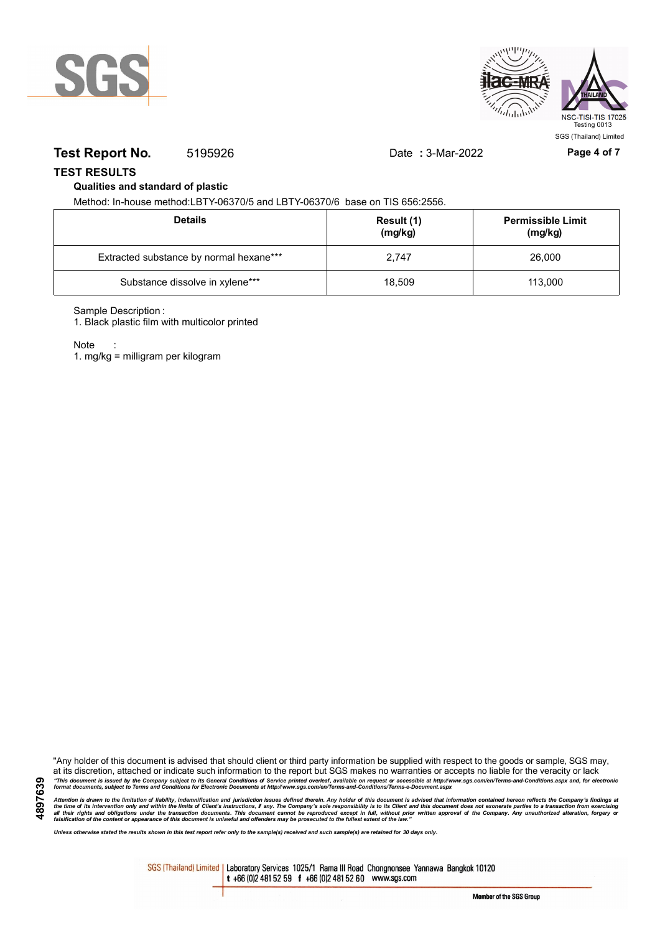



## **Test Report No.** 5195926 Date **:** 3-Mar-2022 **Page 4 of 7**

## **TEST RESULTS**

## **Qualities and standard of plastic**

Method: In-house method:LBTY-06370/5 and LBTY-06370/6 base on TIS 656:2556.

| <b>Details</b>                          | Result (1)<br>(mg/kg) | <b>Permissible Limit</b><br>(mg/kg) |
|-----------------------------------------|-----------------------|-------------------------------------|
| Extracted substance by normal hexane*** | 2.747                 | 26,000                              |
| Substance dissolve in xylene***         | 18.509                | 113,000                             |

Sample Description :

1. Black plastic film with multicolor printed

Note

**4897639**

1. mg/kg = milligram per kilogram

"Any holder of this document is advised that should client or third party information be supplied with respect to the goods or sample, SGS may, at its discretion, attached or indicate such information to the report but SGS makes no warranties or accepts no liable for the veracity or lack "This document is issued by the Company subject to its General Conditions of Service printed overleaf, available on request or accessible at http://www.sgs.com/en/Terms-and-Conditions.aspx and, for electronic<br>format docume

Attention is drawn to the limitation of liability, indemnification and jurisdiction issues defined therein. Any holder of this document is advised that information contained hereon reflects the Company's findings at<br>all th

*Unless otherwise stated the results shown in this test report refer only to the sample(s) received and such sample(s) are retained for 30 days only.*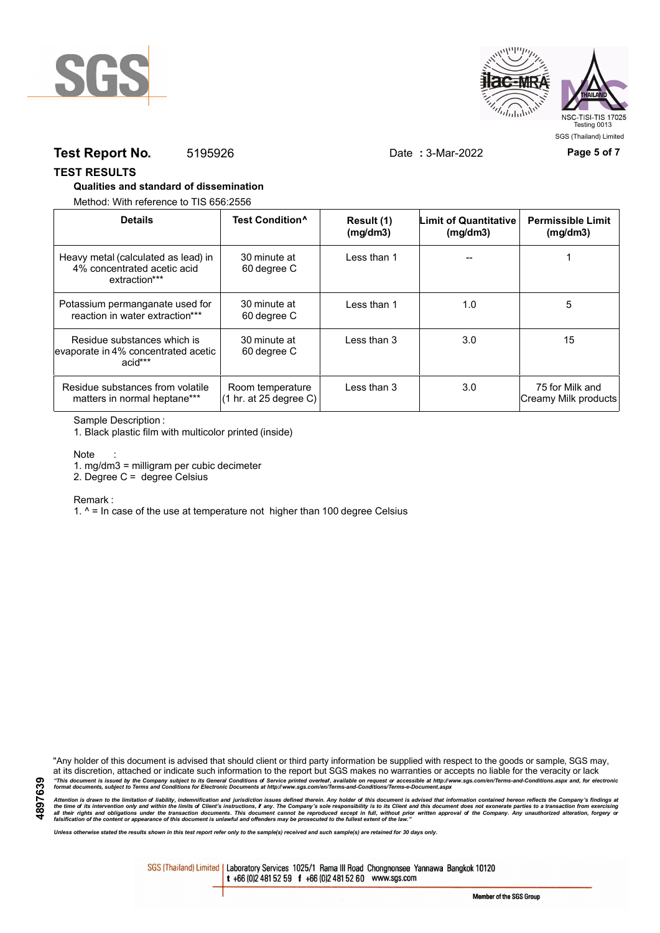



## **Test Report No.** 5195926 Date **:** 3-Mar-2022 **Page 5 of 7**

### **TEST RESULTS**

### **Qualities and standard of dissemination**

Method: With reference to TIS 656:2556

| <b>Details</b>                                                                      | Test Condition <sup>^</sup>                | Result (1)<br>(mg/dm3) | Limit of Quantitative<br>(mq/dm3) | <b>Permissible Limit</b><br>(mg/dm3)    |
|-------------------------------------------------------------------------------------|--------------------------------------------|------------------------|-----------------------------------|-----------------------------------------|
| Heavy metal (calculated as lead) in<br>4% concentrated acetic acid<br>extraction*** | 30 minute at<br>60 degree C                | Less than 1            |                                   |                                         |
| Potassium permanganate used for<br>reaction in water extraction***                  | 30 minute at<br>60 degree C                | Less than 1            | 1.0                               | 5                                       |
| Residue substances which is<br>evaporate in 4% concentrated acetic<br>acid***       | 30 minute at<br>60 degree C                | Less than 3            | 3.0                               | 15                                      |
| Residue substances from volatile<br>matters in normal heptane***                    | Room temperature<br>(1 hr. at 25 degree C) | Less than 3            | 3.0                               | 75 for Milk and<br>Creamy Milk products |

### Sample Description :

1. Black plastic film with multicolor printed (inside)

#### Note

1. mg/dm3 = milligram per cubic decimeter

2. Degree C = degree Celsius

Remark :

1.  $^{\circ}$  = In case of the use at temperature not higher than 100 degree Celsius

**4897639**

"Any holder of this document is advised that should client or third party information be supplied with respect to the goods or sample, SGS may, at its discretion, attached or indicate such information to the report but SGS makes no warranties or accepts no liable for the veracity or lack "This document is issued by the Company subject to its General Conditions of Service printed overleaf, available on request or accessible at http://www.sgs.com/en/Terms-and-Conditions.aspx and, for electronic<br>format docume

Attention is drawn to the limitation of liability, indemnification and jurisdiction issues defined therein. Any holder of this document is advised that information contained hereon reflects the Company's findings at<br>all th

*Unless otherwise stated the results shown in this test report refer only to the sample(s) received and such sample(s) are retained for 30 days only.*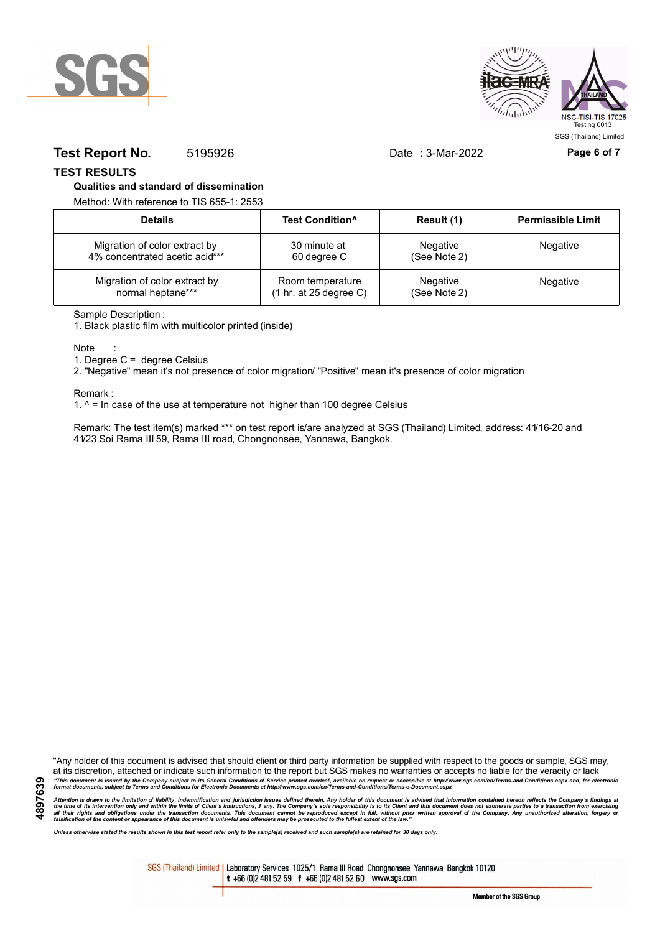



## **Test Report No.** 5195926 Date : 3-Mar-2022 **Page 6 of 7**

**TEST RESULTS**

#### **Qualities and standard of dissemination**

Method: With reference to TIS 655-1: 2553

| <b>Details</b>                 | Test Condition <sup>^</sup> | Result (1)   | <b>Permissible Limit</b> |
|--------------------------------|-----------------------------|--------------|--------------------------|
| Migration of color extract by  | 30 minute at                | Negative     | Negative                 |
| 4% concentrated acetic acid*** | 60 degree C                 | (See Note 2) |                          |
| Migration of color extract by  | Room temperature            | Negative     | Negative                 |
| normal heptane***              | (1 hr. at 25 degree C)      | (See Note 2) |                          |

Sample Description :

1. Black plastic film with multicolor printed (inside)

Note

1. Degree C = degree Celsius

2. "Negative" mean it's not presence of color migration/ "Positive" mean it's presence of color migration

Remark :

1.  $^{\circ}$  = In case of the use at temperature not higher than 100 degree Celsius

Remark: The test item(s) marked \*\*\* on test report is/are analyzed at SGS (Thailand) Limited, address: 41/16-20 and 41/23 Soi Rama III 59, Rama III road, Chongnonsee, Yannawa, Bangkok.

"Any holder of this document is advised that should client or third party information be supplied with respect to the goods or sample, SGS may, at its discretion, attached or indicate such information to the report but SGS makes no warranties or accepts no liable for the veracity or lack "This document is issued by the Company subject to its General Conditions of Service printed overleaf, available on request or accessible at http://www.sgs.com/en/Terms-and-Conditions.aspx and, for electronic<br>format docume

Attention is drawn to the limitation of liability, indemnification and jurisdiction issues defined therein. Any holder of this document is advised that information contained hereon reflects the Company's findings at<br>all th

*Unless otherwise stated the results shown in this test report refer only to the sample(s) received and such sample(s) are retained for 30 days only.*

SGS (Thailand) Limited | Laboratory Services 1025/1 Rama III Road Chongnonsee Yannawa Bangkok 10120 t +66 (0)2 481 52 59 f +66 (0)2 481 52 60 www.sgs.com

Member of the SGS Group